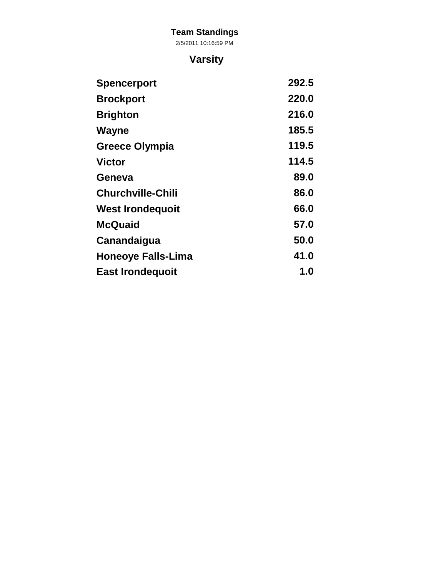# **Team Standings**

2/5/2011 10:16:59 PM

# **Varsity**

| <b>Spencerport</b>        | 292.5 |
|---------------------------|-------|
| <b>Brockport</b>          | 220.0 |
| <b>Brighton</b>           | 216.0 |
| Wayne                     | 185.5 |
| <b>Greece Olympia</b>     | 119.5 |
| Victor                    | 114.5 |
| Geneva                    | 89.0  |
| <b>Churchville-Chili</b>  | 86.0  |
| West Irondequoit          | 66.0  |
| <b>McQuaid</b>            | 57.0  |
| Canandaigua               | 50.0  |
| <b>Honeoye Falls-Lima</b> | 41.0  |
| <b>East Irondequoit</b>   | 1.0   |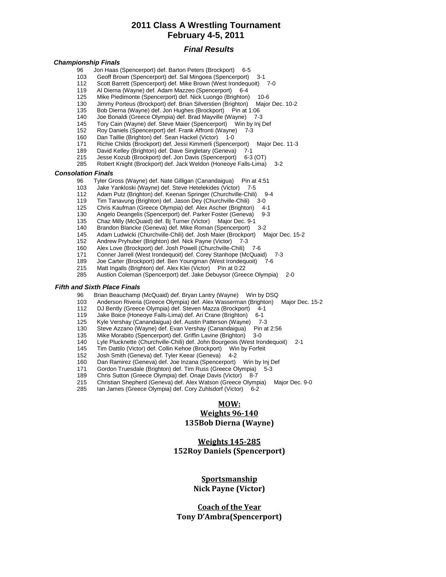# **2011 Class A Wrestling Tournament February 4-5, 2011**

## **Final Results**

#### **Championship Finals**

- 96 Jon Haas (Spencerport) def. Barton Peters (Brockport) 6-5<br>103 Geoff Brown (Spencerport) def. Sal Mingoea (Spencerport)
- Geoff Brown (Spencerport) def. Sal Mingoea (Spencerport)
- 112 Scott Barrett (Spencerport) def. Mike Brown (West Irondequoit) 7-0
- 119 Al Dierna (Wayne) def. Adam Mazzeo (Spencerport) 6-4
- Mike Piedimonte (Spencerport) def. Nick Luongo (Brighton) 10-6<br>Jimmy Porteus (Brockport) def. Brian Silverstien (Brighton) Major Dec. 10-2
- 130 Jimmy Porteus (Brockport) def. Brian Silverstien (Brighton)
- 135 Bob Dierna (Wayne) def. Jon Hughes (Brockport) Pin at 1:06
- 140 Joe Bonaldi (Greece Olympia) def. Brad Mayville (Wayne) 7-3<br>145 Tory Cain (Wayne) def. Steve Maier (Spencerport) Win by Inj Def
- Tory Cain (Wayne) def. Steve Maier (Spencerport)
- 152 Roy Daniels (Spencerport) def. Frank Affronti (Wayne) 7-3
- 160 Dan Taillie (Brighton) def. Sean Hackel (Victor) 1-0
- 171 Richie Childs (Brockport) def. Jessi Kimmerli (Spencerport) Major Dec. 11-3
- 189 David Kelley (Brighton) def. Dave Singletary (Geneva) 7-1
- 215 Jesse Kozub (Brockport) def. Jon Davis (Spencerport) 6-3 (OT)
- Robert Knight (Brockport) def. Jack Weldon (Honeoye Falls-Lima) 3-2

#### **Consolation Finals**

- 96 Tyler Gross (Wayne) def. Nate Gilligan (Canandaigua) Pin at 4:51
- 103 Jake Yankloski (Wayne) def. Steve Hetelekides (Victor) 7-5
- 112 Adam Putz (Brighton) def. Keenan Springer (Churchville-Chili) 9-4
- 
- 119 Tim Tanavung (Brighton) def. Jason Dey (Churchville-Chili) 3-0 125 Chris Kaufman (Greece Olympia) def. Alex Ascher (Brighton) 4-1
- 130 Angelo Deangelis (Spencerport) def. Parker Foster (Geneva) 9-3<br>135 Chaz Milly (McQuaid) def. Bi Turner (Victor) Major Dec. 9-1
	- 135 Chaz Milly (McQuaid) def. Bj Turner (Victor) Major Dec. 9-1
	- 140 Brandon Blancke (Geneva) def. Mike Roman (Spencerport) 3-2
	- 145 Adam Ludwicki (Churchville-Chili) def. Josh Maier (Brockport) Major Dec. 15-2<br>152 Andrew Pryhuber (Brighton) def. Nick Payne (Victor) 7-3
	- Andrew Pryhuber (Brighton) def. Nick Payne (Victor) 7-3
	- 160 Alex Love (Brockport) def. Josh Powell (Churchville-Chili) 7-6
	- 171 Conner Jarrell (West Irondequoit) def. Corey Stanhope (McQuaid) 7-3
	-
- 189 Joe Carter (Brockport) def. Ben Youngman (West Irondequoit)<br>215 Matt Ingalls (Brighton) def. Alex Klei (Victor) Pin at 0:22 Matt Ingalls (Brighton) def. Alex Klei (Victor) Pin at 0:22
- 285 Austion Coleman (Spencerport) def. Jake Debuysor (Greece Olympia) 2-0

#### **Fifth and Sixth Place Finals**

- 
- 96 Brian Beauchamp (McQuaid) def. Bryan Lantry (Wayne) Win by DSQ<br>103 Anderson Riveria (Greece Olympia) def. Alex Wasserman (Brighton) 103 Anderson Riveria (Greece Olympia) def. Alex Wasserman (Brighton) Major Dec. 15-2
- DJ Bently (Greece Olympia) def. Steven Mazza (Brockport)
- 119 Jake Boice (Honeoye Falls-Lima) def. Ari Crane (Brighton) 6-1
- 
- 125 Kyle Vershay (Canandaigua) def. Austin Patterson (Wayne) 7-3
- 130 Steve Azzano (Wayne) def. Evan Vershay (Canandaigua) Pin at 2:56<br>135 Mike Morabito (Spencerport) def. Griffin Lavine (Brighton) 3-0 Mike Morabito (Spencerport) def. Griffin Lavine (Brighton) 3-0
- 140 Lyle Plucknette (Churchville-Chili) def. John Bourgeois (West Irondequoit) 2-1
- 145 Tim Dattilo (Victor) def. Collin Kehoe (Brockport) Win by Forfeit
- 152 Josh Smith (Geneva) def. Tyler Keear (Geneva) 4-2
- 160 Dan Ramirez (Geneva) def. Joe Inzana (Spencerport) Win by Inj Def
- 171 Gordon Truesdale (Brighton) def. Tim Russ (Greece Olympia) 5-3
- 189 Chris Sutton (Greece Olympia) def. Onaje Davis (Victor) 8-7
- 215 Christian Shepherd (Geneva) def. Alex Watson (Greece Olympia) Major Dec. 9-0
- Ian James (Greece Olympia) def. Cory Zuhlsdorf (Victor) 6-2

## MOW:

#### Weights 96-140

### 135Bob Dierna (Wayne)

# Weights 145-285 152Roy Daniels (Spencerport)

## **Sportsmanship** Nick Payne (Victor)

# Coach of the Year Tony D'Ambra(Spencerport)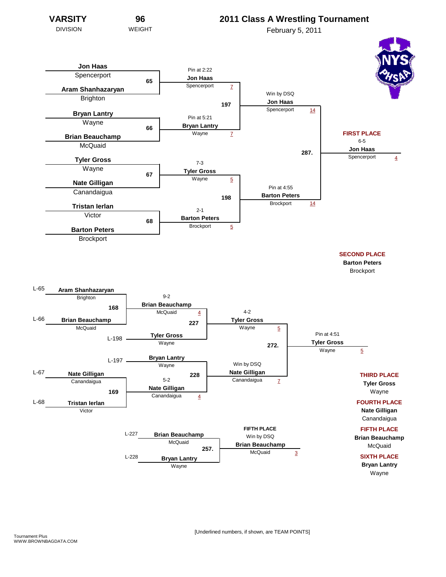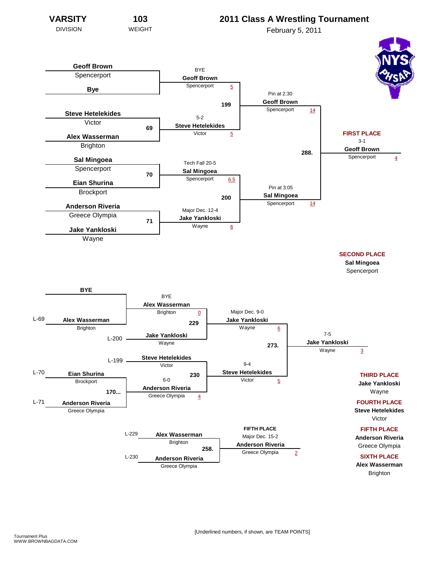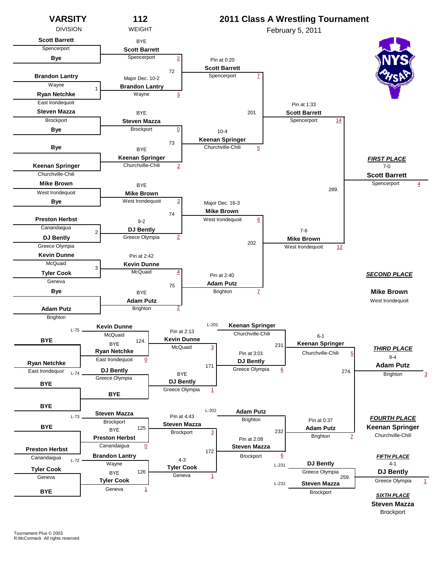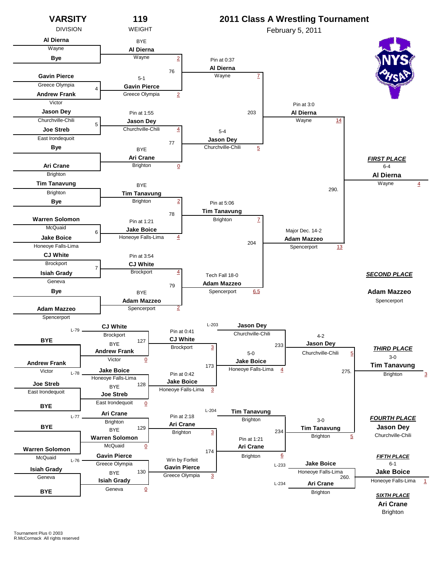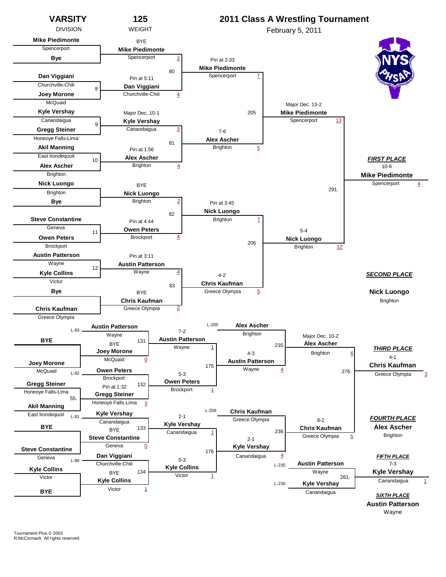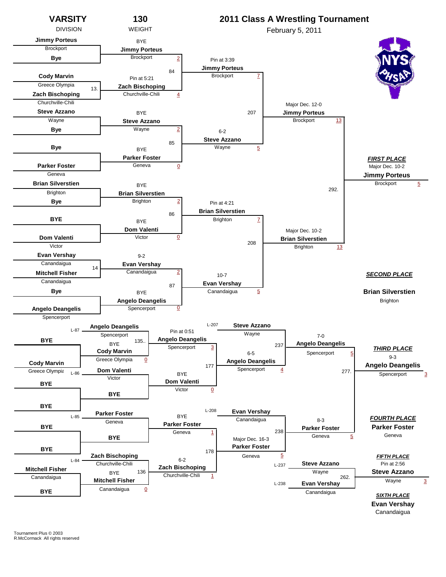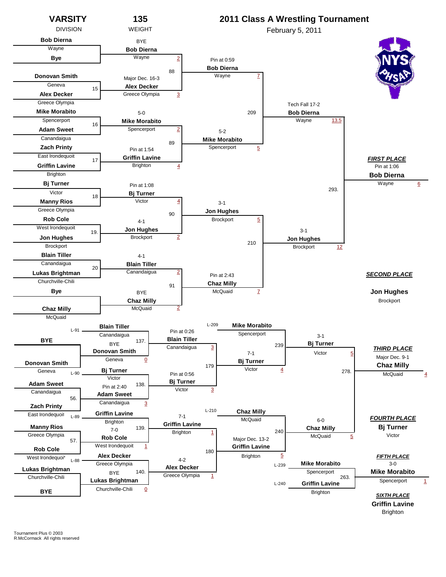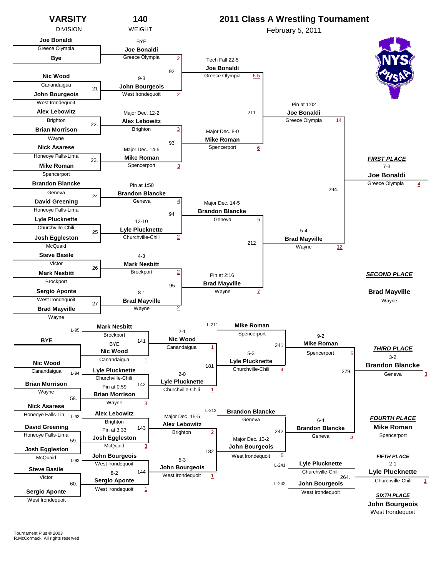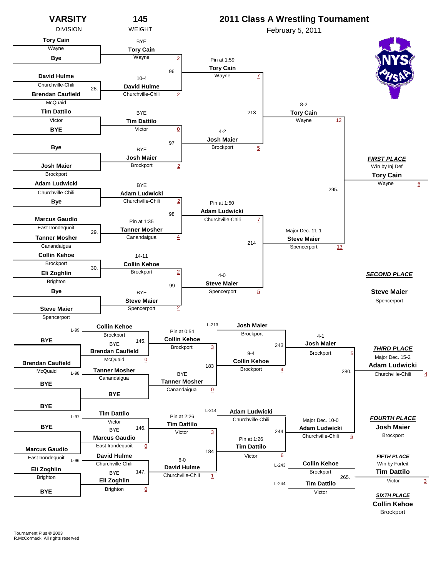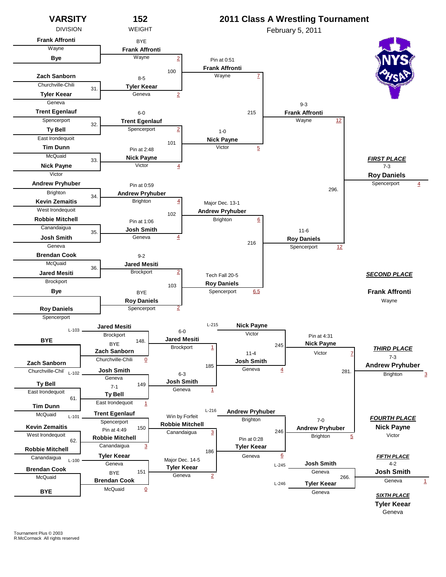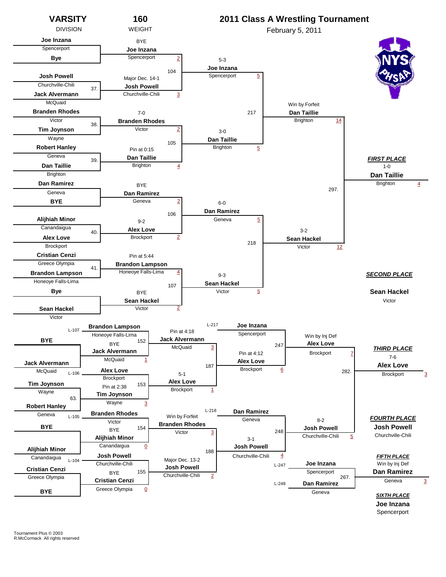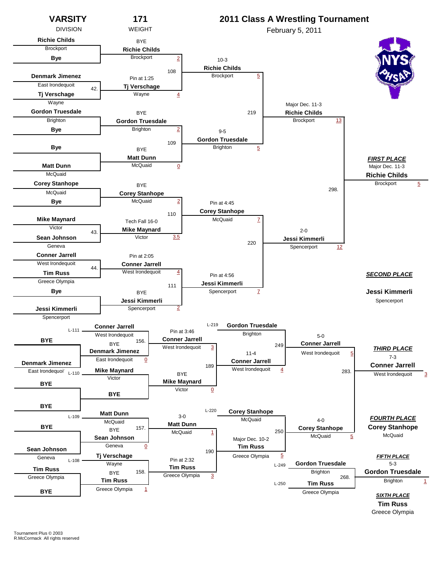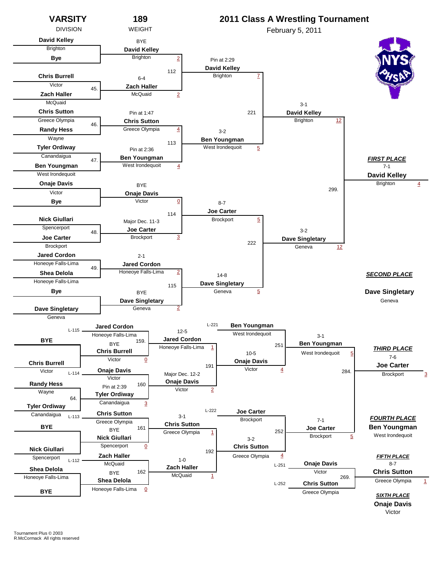![](_page_14_Figure_0.jpeg)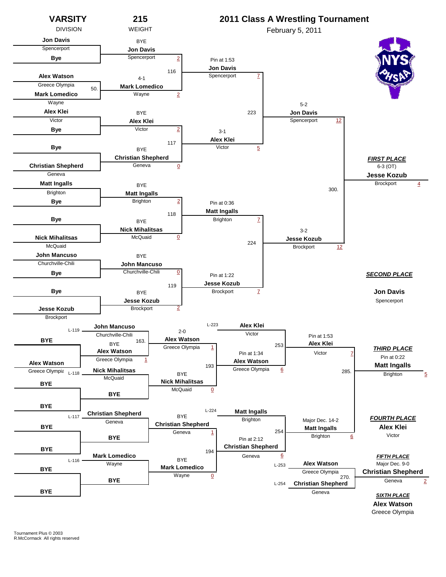![](_page_15_Figure_0.jpeg)